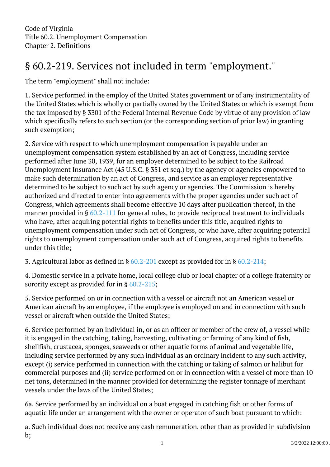Code of Virginia Title 60.2. Unemployment Compensation Chapter 2. Definitions

## § 60.2-219. Services not included in term "employment." j

The term "employment" shall not include:

1. Service performed in the employ of the United States government or of any instrumentality of the United States which is wholly or partially owned by the United States or which is exempt from the tax imposed by § 3301 of the Federal Internal Revenue Code by virtue of any provision of law which specifically refers to such section (or the corresponding section of prior law) in granting such exemption; Ĩ

2. Service with respect to which unemployment compensation is payable under an unemployment compensation system established by an act of Congress, including service performed after June 30, 1939, for an employer determined to be subject to the Railroad Unemployment Insurance Act (45 U.S.C. § 351 et seq.) by the agency or agencies empowered to make such determination by an act of Congress, and service as an employer representative determined to be subject to such act by such agency or agencies. The Commission is hereby authorized and directed to enter into agreements with the proper agencies under such act of Congress, which agreements shall become effective 10 days after publication thereof, in the manner provided in § [60.2-111](/vacode/60.2-111/) for general rules, to provide reciprocal treatment to individuals who have, after acquiring potential rights to benefits under this title, acquired rights to unemployment compensation under such act of Congress, or who have, after acquiring potential rights to unemployment compensation under such act of Congress, acquired rights to benefits under this title;

3. Agricultural labor as defined in §  $60.2$ -201 except as provided for in §  $60.2$ -214;

4. Domestic service in a private home, local college club or local chapter of a college fraternity or sorority except as provided for in § [60.2-215;](/vacode/60.2-215/)

5. Service performed on or in connection with a vessel or aircraft not an American vessel or American aircraft by an employee, if the employee is employed on and in connection with such vessel or aircraft when outside the United States;

6. Service performed by an individual in, or as an officer or member of the crew of, a vessel while it is engaged in the catching, taking, harvesting, cultivating or farming of any kind of fish, shellfish, crustacea, sponges, seaweeds or other aquatic forms of animal and vegetable life, including service performed by any such individual as an ordinary incident to any such activity, except (i) service performed in connection with the catching or taking of salmon or halibut for commercial purposes and (ii) service performed on or in connection with a vessel of more than 10 net tons, determined in the manner provided for determining the register tonnage of merchant vessels under the laws of the United States;

6a. Service performed by an individual on a boat engaged in catching fish or other forms of aquatic life under an arrangement with the owner or operator of such boat pursuant to which: Ĩ

a. Such individual does not receive any cash remuneration, other than as provided in subdivision b;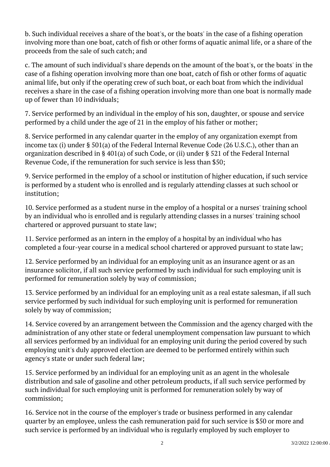b. Such individual receives a share of the boat's, or the boats' in the case of a fishing operation involving more than one boat, catch of fish or other forms of aquatic animal life, or a share of the proceeds from the sale of such catch; and <sup>"</sup>

c. The amount of such individual's share depends on the amount of the boat's, or the boats' in the case of a fishing operation involving more than one boat, catch of fish or other forms of aquatic animal life, but only if the operating crew of such boat, or each boat from which the individual receives a share in the case of a fishing operation involving more than one boat is normally made up of fewer than 10 individuals;

7. Service performed by an individual in the employ of his son, daughter, or spouse and service performed by a child under the age of 21 in the employ of his father or mother; <sup>"</sup>

8. Service performed in any calendar quarter in the employ of any organization exempt from income tax (i) under § 501(a) of the Federal Internal Revenue Code (26 U.S.C.), other than an organization described in § 401(a) of such Code, or (ii) under § 521 of the Federal Internal Revenue Code, if the remuneration for such service is less than \$50;

9. Service performed in the employ of a school or institution of higher education, if such service is performed by a student who is enrolled and is regularly attending classes at such school or institution;

10. Service performed as a student nurse in the employ of a hospital or a nurses' training school by an individual who is enrolled and is regularly attending classes in a nurses' training school chartered or approved pursuant to state law;

11. Service performed as an intern in the employ of a hospital by an individual who has completed a four-year course in a medical school chartered or approved pursuant to state law;

12. Service performed by an individual for an employing unit as an insurance agent or as an insurance solicitor, if all such service performed by such individual for such employing unit is performed for remuneration solely by way of commission; <sup>"</sup>

13. Service performed by an individual for an employing unit as a real estate salesman, if all such service performed by such individual for such employing unit is performed for remuneration solely by way of commission; Ĩ

14. Service covered by an arrangement between the Commission and the agency charged with the administration of any other state or federal unemployment compensation law pursuant to which all services performed by an individual for an employing unit during the period covered by such employing unit's duly approved election are deemed to be performed entirely within such agency's state or under such federal law; Ĩ

15. Service performed by an individual for an employing unit as an agent in the wholesale distribution and sale of gasoline and other petroleum products, if all such service performed by such individual for such employing unit is performed for remuneration solely by way of commission;

16. Service not in the course of the employer's trade or business performed in any calendar quarter by an employee, unless the cash remuneration paid for such service is \$50 or more and such service is performed by an individual who is regularly employed by such employer to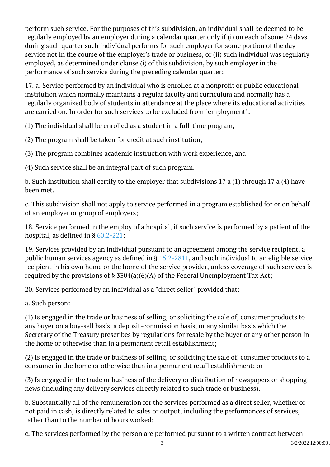perform such service. For the purposes of this subdivision, an individual shall be deemed to be regularly employed by an employer during a calendar quarter only if (i) on each of some 24 days during such quarter such individual performs for such employer for some portion of the day service not in the course of the employer's trade or business, or (ii) such individual was regularly employed, as determined under clause (i) of this subdivision, by such employer in the performance of such service during the preceding calendar quarter; <sup>"</sup>

17. a. Service performed by an individual who is enrolled at a nonprofit or public educational institution which normally maintains a regular faculty and curriculum and normally has a regularly organized body of students in attendance at the place where its educational activities are carried on. In order for such services to be excluded from "employment": Ĩ

(1) The individual shall be enrolled as a student in a full-time program, Ì

(2) The program shall be taken for credit at such institution, Ì

(3) The program combines academic instruction with work experience, and Ì

(4) Such service shall be an integral part of such program. Ì

b. Such institution shall certify to the employer that subdivisions 17 a (1) through 17 a (4) have been met.

c. This subdivision shall not apply to service performed in a program established for or on behalf of an employer or group of employers;

18. Service performed in the employ of a hospital, if such service is performed by a patient of the hospital, as defined in §  $60.2$ - $221$ ;

19. Services provided by an individual pursuant to an agreement among the service recipient, a public human services agency as defined in § [15.2-2811](/vacode/15.2-2811/), and such individual to an eligible service recipient in his own home or the home of the service provider, unless coverage of such services is required by the provisions of § 3304(a)(6)(A) of the Federal Unemployment Tax Act;

20. Services performed by an individual as a "direct seller" provided that:

a. Such person: Ĩ

(1) Is engaged in the trade or business of selling, or soliciting the sale of, consumer products to any buyer on a buy-sell basis, a deposit-commission basis, or any similar basis which the Secretary of the Treasury prescribes by regulations for resale by the buyer or any other person in the home or otherwise than in a permanent retail establishment;

(2) Is engaged in the trade or business of selling, or soliciting the sale of, consumer products to a consumer in the home or otherwise than in a permanent retail establishment; or

(3) Is engaged in the trade or business of the delivery or distribution of newspapers or shopping news (including any delivery services directly related to such trade or business).

b. Substantially all of the remuneration for the services performed as a direct seller, whether or not paid in cash, is directly related to sales or output, including the performances of services, rather than to the number of hours worked;

c. The services performed by the person are performed pursuant to a written contract between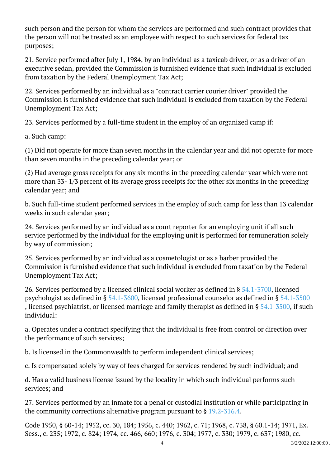such person and the person for whom the services are performed and such contract provides that the person will not be treated as an employee with respect to such services for federal tax purposes; <sup>"</sup>

21. Service performed after July 1, 1984, by an individual as a taxicab driver, or as a driver of an executive sedan, provided the Commission is furnished evidence that such individual is excluded from taxation by the Federal Unemployment Tax Act;

22. Services performed by an individual as a "contract carrier courier driver" provided the Commission is furnished evidence that such individual is excluded from taxation by the Federal Unemployment Tax Act;

23. Services performed by a full-time student in the employ of an organized camp if:

a. Such camp:

(1) Did not operate for more than seven months in the calendar year and did not operate for more than seven months in the preceding calendar year; or

(2) Had average gross receipts for any six months in the preceding calendar year which were not more than 33- 1/3 percent of its average gross receipts for the other six months in the preceding calendar year; and

b. Such full-time student performed services in the employ of such camp for less than 13 calendar weeks in such calendar year;

24. Services performed by an individual as a court reporter for an employing unit if all such service performed by the individual for the employing unit is performed for remuneration solely by way of commission;

25. Services performed by an individual as a cosmetologist or as a barber provided the Commission is furnished evidence that such individual is excluded from taxation by the Federal Unemployment Tax Act;

26. Services performed by a licensed clinical social worker as defined in § [54.1-3700](/vacode/54.1-3700/), licensed psychologist as defined in § [54.1-3600](/vacode/54.1-3600/), licensed professional counselor as defined in § [54.1-3500](/vacode/54.1-3500/) , licensed psychiatrist, or licensed marriage and family therapist as defined in §  $54.1-5500$ , if such individual:

a. Operates under a contract specifying that the individual is free from control or direction over the performance of such services;

b. Is licensed in the Commonwealth to perform independent clinical services;

c. Is compensated solely by way of fees charged for services rendered by such individual; and

d. Has a valid business license issued by the locality in which such individual performs such services; and Ĩ

27. Services performed by an inmate for a penal or custodial institution or while participating in the community corrections alternative program pursuant to § [19.2-316.4.](/vacode/19.2-316.4/)

Code 1950, § 60-14; 1952, cc. 30, 184; 1956, c. 440; 1962, c. 71; 1968, c. 738, § 60.1-14; 1971, Ex. Sess., c. 235; 1972, c. 824; 1974, cc. 466, 660; 1976, c. 304; 1977, c. 330; 1979, c. 637; 1980, cc.